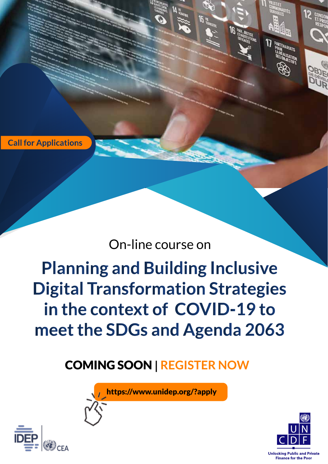**Call for Applications** 

# On-line course on

**Planning and Building Inclusive Digital Transformation Strategies** in the context of COVID-19 to meet the SDGs and Agenda 2063

COMING SOON **| REGISTER NOW**

https://www.unidep.org/?apply



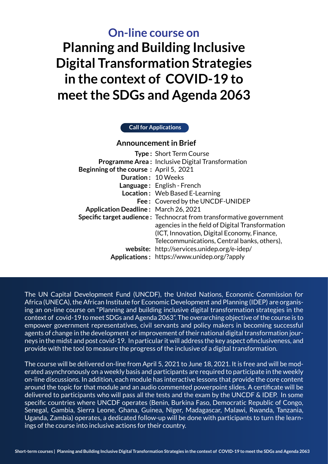**Planning and Building Inclusive Digital Transformation Strategies in the context of COVID-19 to meet the SDGs and Agenda 2063 On-line course on**

#### **Call for Applications**

#### **Announcement in Brief**

| <b>Type: Short Term Course</b>                                             |
|----------------------------------------------------------------------------|
| <b>Programme Area: Inclusive Digital Transformation</b>                    |
| <b>Beginning of the course: April 5, 2021</b>                              |
| Duration: 10 Weeks                                                         |
| Language: English - French                                                 |
| Location: Web Based E-Learning                                             |
| Fee: Covered by the UNCDF-UNIDEP                                           |
| <b>Application Deadline: March 26, 2021</b>                                |
| <b>Specific target audience:</b> Technocrat from transformative government |
| agencies in the field of Digital Transformation                            |
| (ICT, Innovation, Digital Economy, Finance,                                |
| Telecommunications, Central banks, others),                                |
| website: http://services.unidep.org/e-idep/                                |
| Applications: https://www.unidep.org/?apply                                |
|                                                                            |

The UN Capital Development Fund (UNCDF), the United Nations, Economic Commission for Africa (UNECA), the African Institute for Economic Development and Planning (IDEP) are organising an on-line course on "Planning and building inclusive digital transformation strategies in the context of covid-19 to meet SDGs and Agenda 2063". The overarching objective of the course is to empower government representatives, civil servants and policy makers in becoming successful agents of change in the development or improvement of their national digital transformation journeys in the midst and post covid-19. In particular it will address the key aspect ofinclusiveness, and provide with the tool to measure the progress of the inclusive of a digital transformation.

The course will be delivered on-line from April 5, 2021 to June 18, 2021. It is free and will be moderated asynchronously on a weekly basis and participants are required to participate in the weekly on-line discussions. In addition, each module has interactive lessons that provide the core content around the topic for that module and an audio commented powerpoint slides. A certificate will be delivered to participants who will pass all the tests and the exam by the UNCDF & IDEP. In some specific countries where UNCDF operates (Benin, Burkina Faso, Democratic Republic of Congo, Senegal, Gambia, Sierra Leone, Ghana, Guinea, Niger, Madagascar, Malawi, Rwanda, Tanzania, Uganda, Zambia) operates, a dedicated follow-up will be done with participants to turn the learnings of the course into inclusive actions for their country.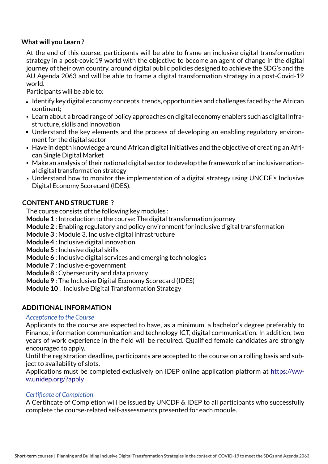#### **What will you Learn ?**

At the end of this course, participants will be able to frame an inclusive digital transformation strategy in a post-covid19 world with the objective to become an agent of change in the digital journey of their own country. around digital public policies designed to achieve the SDG's and the AU Agenda 2063 and will be able to frame a digital transformation strategy in a post-Covid-19 world.

Participants will be able to:

- $\blacksquare$  Identify key digital economy concepts, trends, opportunities and challenges faced by the African continent;
- Learn about a broad range of policy approaches on digital economy enablers such as digital infrastructure, skills and innovation
- Understand the key elements and the process of developing an enabling regulatory environment for the digital sector
- Have in depth knowledge around African digital initiatives and the objective of creating an African Single Digital Market
- Make an analysis of their national digital sector to develop the framework of an inclusive national digital transformation strategy
- Understand how to monitor the implementation of a digital strategy using UNCDF's Inclusive Digital Economy Scorecard (IDES).

# **CONTENT AND STRUCTURE ?**

The course consists of the following key modules :

**Module 1** : Introduction to the course: The digital transformation journey

**Module 2** : Enabling regulatory and policy environment for inclusive digital transformation

**Module 3** : Module 3. Inclusive digital infrastructure

**Module 4** : Inclusive digital innovation

**Module 5** : Inclusive digital skills

- **Module 6** : Inclusive digital services and emerging technologies
- **Module 7** : Inclusive e-government
- **Module 8** : Cybersecurity and data privacy
- **Module 9** : The Inclusive Digital Economy Scorecard (IDES)
- **Module 10** : Inclusive Digital Transformation Strategy

#### **ADDITIONAL INFORMATION**

#### *Acceptance to the Course*

Applicants to the course are expected to have, as a minimum, a bachelor's degree preferably to Finance, information communication and technology ICT, digital communication. In addition, two years of work experience in the field will be required. Qualified female candidates are strongly encouraged to apply.

Until the registration deadline, participants are accepted to the course on a rolling basis and subject to availability of slots.

Applications must be completed exclusively on IDEP online application platform at https://www.unidep.org/?apply

#### *Certificate of Completion*

A Certificate of Completion will be issued by UNCDF & IDEP to all participants who successfully complete the course-related self-assessments presented for each module.